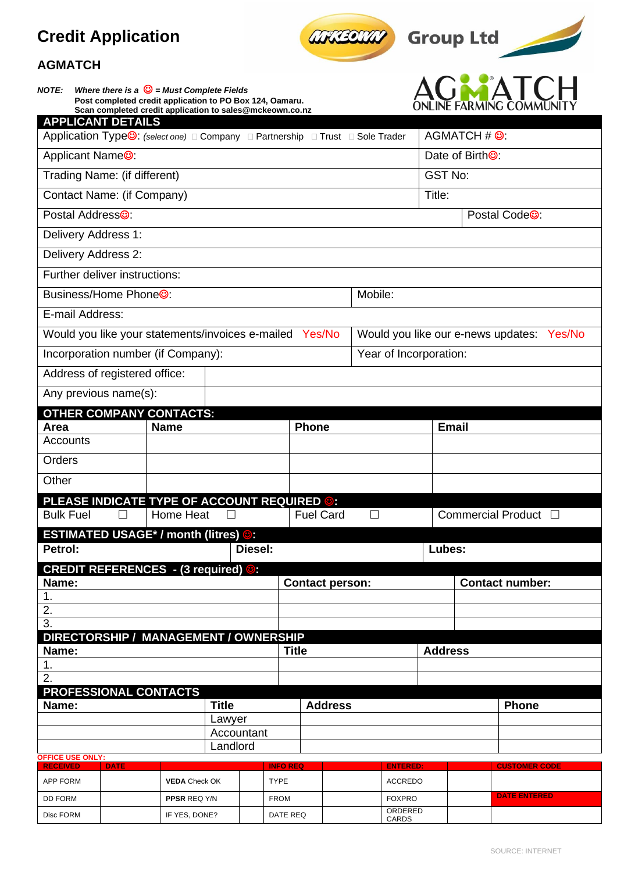# **Credit Application**

*NOTE: Where there is a* ☺ *= Must Complete Fields*

**AGMATCH**







| Post completed credit application to PO Box 124, Oamaru.<br>Scan completed credit application to sales@mckeown.co.nz   |                      |              |         |                 |                  |                        |         |                        |                |                              | ONLINE FARMING COMMUNITY                  |  |
|------------------------------------------------------------------------------------------------------------------------|----------------------|--------------|---------|-----------------|------------------|------------------------|---------|------------------------|----------------|------------------------------|-------------------------------------------|--|
| <b>APPLICANT DETAILS</b><br>Application Type <sup>©</sup> : (select one) □ Company □ Partnership □ Trust □ Sole Trader |                      |              |         |                 |                  |                        |         |                        |                | AGMATCH # ©:                 |                                           |  |
| Applicant Name <sup>®</sup> :                                                                                          |                      |              |         |                 |                  |                        |         |                        |                | Date of Birth <sup>®</sup> : |                                           |  |
|                                                                                                                        |                      |              |         |                 |                  |                        |         |                        | <b>GST No:</b> |                              |                                           |  |
| Trading Name: (if different)                                                                                           |                      |              |         |                 |                  |                        |         |                        |                |                              |                                           |  |
| Contact Name: (if Company)                                                                                             |                      |              |         |                 |                  |                        |         |                        | Title:         |                              |                                           |  |
| Postal Address <sup>®</sup> :                                                                                          |                      |              |         |                 |                  |                        |         |                        |                |                              | Postal Code <sup>®</sup> :                |  |
| Delivery Address 1:                                                                                                    |                      |              |         |                 |                  |                        |         |                        |                |                              |                                           |  |
| Delivery Address 2:                                                                                                    |                      |              |         |                 |                  |                        |         |                        |                |                              |                                           |  |
| Further deliver instructions:                                                                                          |                      |              |         |                 |                  |                        |         |                        |                |                              |                                           |  |
| Business/Home Phone <sup>®</sup> :                                                                                     |                      |              |         |                 |                  |                        | Mobile: |                        |                |                              |                                           |  |
| E-mail Address:                                                                                                        |                      |              |         |                 |                  |                        |         |                        |                |                              |                                           |  |
| Would you like your statements/invoices e-mailed Yes/No                                                                |                      |              |         |                 |                  |                        |         |                        |                |                              | Would you like our e-news updates: Yes/No |  |
| Incorporation number (if Company):                                                                                     |                      |              |         |                 |                  |                        |         | Year of Incorporation: |                |                              |                                           |  |
| Address of registered office:                                                                                          |                      |              |         |                 |                  |                        |         |                        |                |                              |                                           |  |
| Any previous name(s):                                                                                                  |                      |              |         |                 |                  |                        |         |                        |                |                              |                                           |  |
| <b>OTHER COMPANY CONTACTS:</b>                                                                                         |                      |              |         |                 |                  |                        |         |                        |                |                              |                                           |  |
| Area                                                                                                                   | <b>Name</b>          |              |         |                 | <b>Phone</b>     |                        |         |                        |                | <b>Email</b>                 |                                           |  |
| Accounts                                                                                                               |                      |              |         |                 |                  |                        |         |                        |                |                              |                                           |  |
| Orders                                                                                                                 |                      |              |         |                 |                  |                        |         |                        |                |                              |                                           |  |
| Other                                                                                                                  |                      |              |         |                 |                  |                        |         |                        |                |                              |                                           |  |
| <b>PLEASE INDICATE TYPE OF ACCOUNT REQUIRED ©:</b>                                                                     |                      |              |         |                 |                  |                        |         |                        |                |                              |                                           |  |
| <b>Bulk Fuel</b><br>$\mathsf{L}$                                                                                       | Home Heat            |              |         |                 | <b>Fuel Card</b> |                        | $\Box$  |                        |                |                              | Commercial Product □                      |  |
| <b>ESTIMATED USAGE*</b> / month (litres) <b>©</b><br>Petrol:                                                           |                      |              | Diesel: |                 |                  |                        |         |                        | Lubes:         |                              |                                           |  |
| <b>CREDIT REFERENCES</b> - (3 required) <b>@</b>                                                                       |                      |              |         |                 |                  |                        |         |                        |                |                              |                                           |  |
| Name:                                                                                                                  |                      |              |         |                 |                  | <b>Contact person:</b> |         |                        |                |                              | <b>Contact number:</b>                    |  |
| $\mathbf 1$ .                                                                                                          |                      |              |         |                 |                  |                        |         |                        |                |                              |                                           |  |
| 2.<br>$\overline{3}$ .                                                                                                 |                      |              |         |                 |                  |                        |         |                        |                |                              |                                           |  |
| DIRECTORSHIP / MANAGEMENT / OWNERSHIP                                                                                  |                      |              |         |                 |                  |                        |         |                        |                |                              |                                           |  |
| Name:                                                                                                                  |                      |              |         |                 | <b>Title</b>     |                        |         |                        | <b>Address</b> |                              |                                           |  |
| $\mathbf 1$ .                                                                                                          |                      |              |         |                 |                  |                        |         |                        |                |                              |                                           |  |
| 2.                                                                                                                     |                      |              |         |                 |                  |                        |         |                        |                |                              |                                           |  |
| PROFESSIONAL CONTACTS<br>Name:                                                                                         |                      | <b>Title</b> |         |                 |                  | <b>Address</b>         |         |                        |                |                              | <b>Phone</b>                              |  |
|                                                                                                                        |                      | Lawyer       |         |                 |                  |                        |         |                        |                |                              |                                           |  |
|                                                                                                                        |                      | Accountant   |         |                 |                  |                        |         |                        |                |                              |                                           |  |
| <b>OFFICE USE ONLY:</b>                                                                                                |                      | Landlord     |         |                 |                  |                        |         |                        |                |                              |                                           |  |
| <b>RECEIVED</b><br><b>DATE</b>                                                                                         |                      |              |         | <b>INFO REQ</b> |                  |                        |         | <b>ENTERED:</b>        |                |                              | <b>CUSTOMER CODE</b>                      |  |
| APP FORM                                                                                                               | <b>VEDA</b> Check OK |              |         | <b>TYPE</b>     |                  |                        |         | <b>ACCREDO</b>         |                |                              |                                           |  |

DD FORM **PPSR** REQ Y/N FROM FOXPRO **DATE ENTERED**

ORDERED<br>CARDS

Disc FORM | | | | | | | | | | | | | | | | | | DATE REQ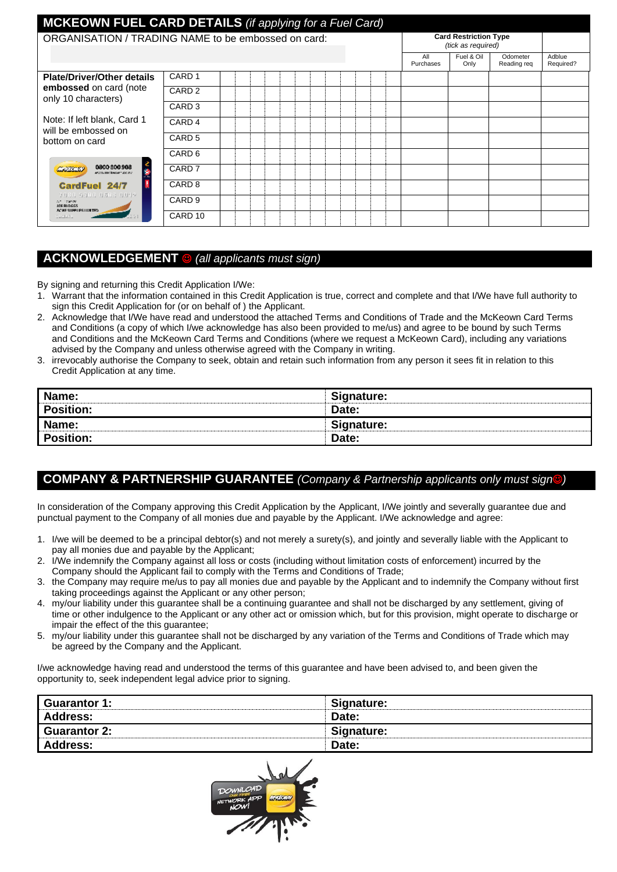| <b>MCKEOWN FUEL CARD DETAILS</b> (if applying for a Fuel Card) |                    |  |  |  |                  |                                                    |                         |                     |
|----------------------------------------------------------------|--------------------|--|--|--|------------------|----------------------------------------------------|-------------------------|---------------------|
| ORGANISATION / TRADING NAME to be embossed on card:            |                    |  |  |  |                  | <b>Card Restriction Type</b><br>(tick as required) |                         |                     |
|                                                                |                    |  |  |  | All<br>Purchases | Fuel & Oil<br>Only                                 | Odometer<br>Reading reg | Adblue<br>Required? |
| <b>Plate/Driver/Other details</b>                              | CARD <sub>1</sub>  |  |  |  |                  |                                                    |                         |                     |
| embossed on card (note<br>only 10 characters)                  | CARD <sub>2</sub>  |  |  |  |                  |                                                    |                         |                     |
|                                                                | CARD <sub>3</sub>  |  |  |  |                  |                                                    |                         |                     |
| Note: If left blank, Card 1<br>will be embossed on             | CARD <sub>4</sub>  |  |  |  |                  |                                                    |                         |                     |
| bottom on card                                                 | CARD <sub>5</sub>  |  |  |  |                  |                                                    |                         |                     |
|                                                                | CARD <sub>6</sub>  |  |  |  |                  |                                                    |                         |                     |
| こう<br>0800 800 908<br><u>an san</u><br>WWW.IDCREGWT.ISO.DZ     | CARD <sub>7</sub>  |  |  |  |                  |                                                    |                         |                     |
| <b>CardFuel 24/7</b>                                           | CARD <sub>8</sub>  |  |  |  |                  |                                                    |                         |                     |
| VOSC SALC UNDERUNG<br>An Independent<br>2000/06/12             | CARD <sub>9</sub>  |  |  |  |                  |                                                    |                         |                     |
| ACME SUPPLIES LIVETED.<br><b>Ladiati</b>                       | CARD <sub>10</sub> |  |  |  |                  |                                                    |                         |                     |

# **ACKNOWLEDGEMENT** ☺ *(all applicants must sign)*

By signing and returning this Credit Application I/We:

- 1. Warrant that the information contained in this Credit Application is true, correct and complete and that I/We have full authority to sign this Credit Application for (or on behalf of ) the Applicant.
- 2. Acknowledge that I/We have read and understood the attached Terms and Conditions of Trade and the McKeown Card Terms and Conditions (a copy of which I/we acknowledge has also been provided to me/us) and agree to be bound by such Terms and Conditions and the McKeown Card Terms and Conditions (where we request a McKeown Card), including any variations advised by the Company and unless otherwise agreed with the Company in writing.
- 3. irrevocably authorise the Company to seek, obtain and retain such information from any person it sees fit in relation to this Credit Application at any time.

| Name:            | Signature: |
|------------------|------------|
| Position:        | Date:      |
| Name:            | Signature: |
| <b>Position:</b> | Date:      |

# **COMPANY & PARTNERSHIP GUARANTEE** *(Company & Partnership applicants only must sign*☺*)*

In consideration of the Company approving this Credit Application by the Applicant, I/We jointly and severally guarantee due and punctual payment to the Company of all monies due and payable by the Applicant. I/We acknowledge and agree:

- 1. I/we will be deemed to be a principal debtor(s) and not merely a surety(s), and jointly and severally liable with the Applicant to pay all monies due and payable by the Applicant;
- 2. I/We indemnify the Company against all loss or costs (including without limitation costs of enforcement) incurred by the Company should the Applicant fail to comply with the Terms and Conditions of Trade;
- 3. the Company may require me/us to pay all monies due and payable by the Applicant and to indemnify the Company without first taking proceedings against the Applicant or any other person;
- 4. my/our liability under this guarantee shall be a continuing guarantee and shall not be discharged by any settlement, giving of time or other indulgence to the Applicant or any other act or omission which, but for this provision, might operate to discharge or impair the effect of the this guarantee;
- 5. my/our liability under this guarantee shall not be discharged by any variation of the Terms and Conditions of Trade which may be agreed by the Company and the Applicant.

I/we acknowledge having read and understood the terms of this guarantee and have been advised to, and been given the opportunity to, seek independent legal advice prior to signing.

| I Guarantor 1: | Signature: |
|----------------|------------|
| Address:       | Date:      |
| Guarantor 2:   | Signature: |
| Address:       | Date:      |

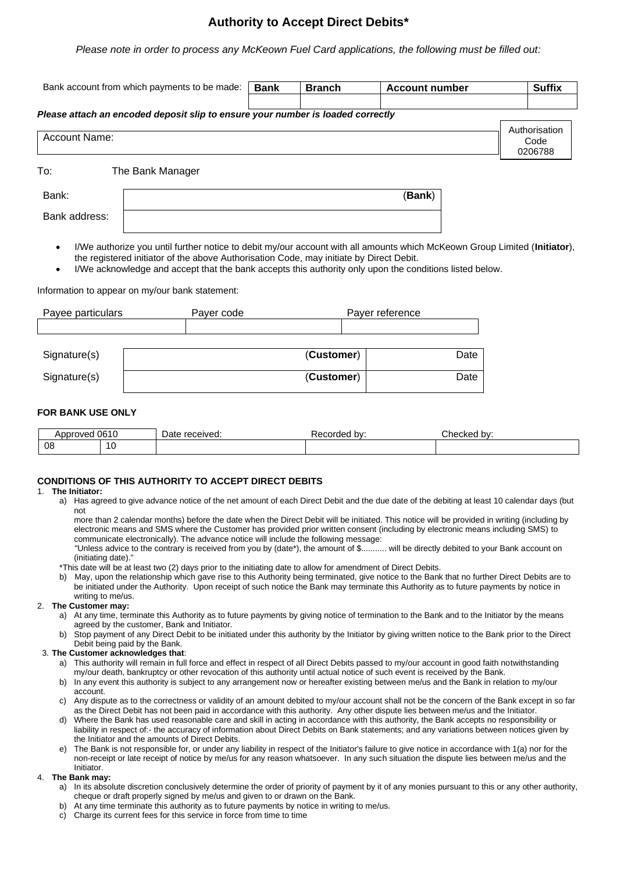# **Authority to Accept Direct Debits\***

*Please note in order to process any McKeown Fuel Card applications, the following must be filled out:*

| Bank account from which payments to be made:                                    | <b>Bank</b> | <b>Branch</b> | <b>Account number</b> |  | <b>Suffix</b> |  |
|---------------------------------------------------------------------------------|-------------|---------------|-----------------------|--|---------------|--|
|                                                                                 |             |               |                       |  |               |  |
| Please attach an encoded deposit slip to ensure your number is loaded correctly |             |               |                       |  |               |  |
|                                                                                 |             |               |                       |  | Authorisation |  |
| Account Name:                                                                   |             |               |                       |  |               |  |
|                                                                                 |             |               |                       |  | 0206788       |  |

To: The Bank Manager

Bank: (**Bank**) Bank address:

• I/We authorize you until further notice to debit my/our account with all amounts which McKeown Group Limited (**Initiator**), the registered initiator of the above Authorisation Code, may initiate by Direct Debit.

• I/We acknowledge and accept that the bank accepts this authority only upon the conditions listed below.

Information to appear on my/our bank statement:

| Payee particulars | Payer code | Payer reference |
|-------------------|------------|-----------------|
|                   |            |                 |
|                   |            |                 |
| Signature(s)      | (Customer) | Date            |
| Signature(s)      | (Customer) | Date            |
|                   |            |                 |

### **FOR BANK USE ONLY**

| .<br>Annrovec | 0.015<br>U61U | received.<br>⊃ate | hv.<br>oraec | Checked∶<br>bv:<br>. |  |
|---------------|---------------|-------------------|--------------|----------------------|--|
| 08            | ט ו           |                   |              |                      |  |

### **CONDITIONS OF THIS AUTHORITY TO ACCEPT DIRECT DEBITS**

#### 1. **The Initiator:**

a) Has agreed to give advance notice of the net amount of each Direct Debit and the due date of the debiting at least 10 calendar days (but not

more than 2 calendar months) before the date when the Direct Debit will be initiated. This notice will be provided in writing (including by electronic means and SMS where the Customer has provided prior written consent (including by electronic means including SMS) to communicate electronically). The advance notice will include the following message:

"Unless advice to the contrary is received from you by (date\*), the amount of \$........... will be directly debited to your Bank account on (initiating date)."

\*This date will be at least two (2) days prior to the initiating date to allow for amendment of Direct Debits.

b) May, upon the relationship which gave rise to this Authority being terminated, give notice to the Bank that no further Direct Debits are to be initiated under the Authority. Upon receipt of such notice the Bank may terminate this Authority as to future payments by notice in writing to me/us.

## 2. **The Customer may:**

- a) At any time, terminate this Authority as to future payments by giving notice of termination to the Bank and to the Initiator by the means agreed by the customer, Bank and Initiator.
- b) Stop payment of any Direct Debit to be initiated under this authority by the Initiator by giving written notice to the Bank prior to the Direct Debit being paid by the Bank.

### 3. **The Customer acknowledges that**:

- a) This authority will remain in full force and effect in respect of all Direct Debits passed to my/our account in good faith notwithstanding my/our death, bankruptcy or other revocation of this authority until actual notice of such event is received by the Bank.
- b) In any event this authority is subject to any arrangement now or hereafter existing between me/us and the Bank in relation to my/our account.
- c) Any dispute as to the correctness or validity of an amount debited to my/our account shall not be the concern of the Bank except in so far as the Direct Debit has not been paid in accordance with this authority. Any other dispute lies between me/us and the Initiator.
- d) Where the Bank has used reasonable care and skill in acting in accordance with this authority, the Bank accepts no responsibility or liability in respect of:- the accuracy of information about Direct Debits on Bank statements; and any variations between notices given by the Initiator and the amounts of Direct Debits.
- e) The Bank is not responsible for, or under any liability in respect of the Initiator's failure to give notice in accordance with 1(a) nor for the non-receipt or late receipt of notice by me/us for any reason whatsoever. In any such situation the dispute lies between me/us and the Initiator.

### 4. **The Bank may:**

- a) In its absolute discretion conclusively determine the order of priority of payment by it of any monies pursuant to this or any other authority, cheque or draft properly signed by me/us and given to or drawn on the Bank.
- b) At any time terminate this authority as to future payments by notice in writing to me/us.
- c) Charge its current fees for this service in force from time to time